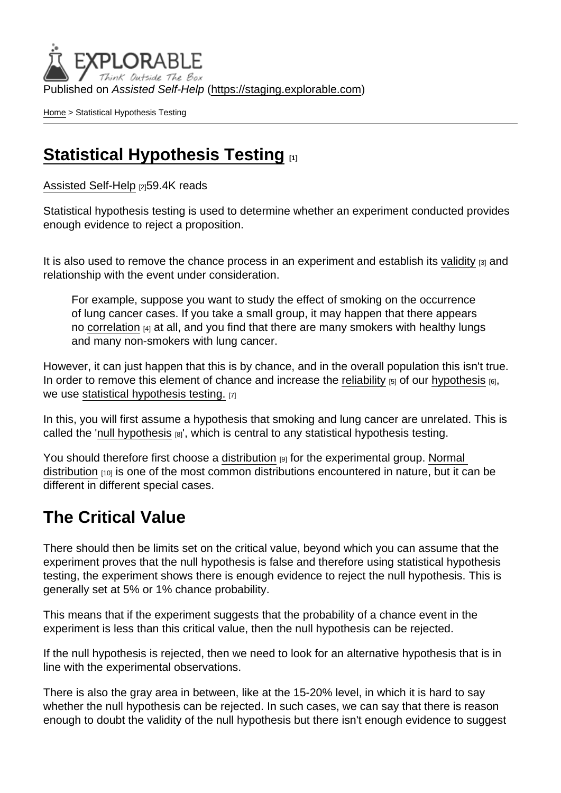Published on Assisted Self-Help [\(https://staging.explorable.com](https://staging.explorable.com))

[Home](https://staging.explorable.com/en) > Statistical Hypothesis Testing

### [Statistical Hypothesis Testing](https://staging.explorable.com/en/statistical-hypothesis-testing)

[Assisted Self-Help](https://staging.explorable.com/en) [2]59.4K reads

Statistical hypothesis testing is used to determine whether an experiment conducted provides enough evidence to reject a proposition.

It is also used to remove the chance process in an experiment and establish its [validity](https://staging.explorable.com/validity-and-reliability)  $_{[3]}$  and relationship with the event under consideration.

For example, suppose you want to study the effect of smoking on the occurrence of lung cancer cases. If you take a small group, it may happen that there appears no [correlation](https://staging.explorable.com/statistical-correlation) [4] at all, and you find that there are many smokers with healthy lungs and many non-smokers with lung cancer.

However, it can just happen that this is by chance, and in the overall population this isn't true. In order to remove this element of chance and increase the [reliability](https://staging.explorable.com/statistical-reliability)  $[5]$  of our [hypothesis](https://staging.explorable.com/research-hypothesis)  $[6]$ , we use [statistical hypothesis testing.](http://itl.nist.gov/div898/handbook/prc/section1/prc13.htm) [7]

In this, you will first assume a hypothesis that smoking and lung cancer are unrelated. This is called the '[null hypothesis](https://staging.explorable.com/null-hypothesis)  $_{[8]}$ ', which is central to any statistical hypothesis testing.

You should therefore first choose a [distribution](https://staging.explorable.com/frequency-distribution) [9] for the experimental group. Normal [distribution](https://staging.explorable.com/normal-probability-distribution)  $[10]$  is one of the most common distributions encountered in nature, but it can be different in different special cases.

## The Critical Value

There should then be limits set on the critical value, beyond which you can assume that the experiment proves that the null hypothesis is false and therefore using statistical hypothesis testing, the experiment shows there is enough evidence to reject the null hypothesis. This is generally set at 5% or 1% chance probability.

This means that if the experiment suggests that the probability of a chance event in the experiment is less than this critical value, then the null hypothesis can be rejected.

If the null hypothesis is rejected, then we need to look for an alternative hypothesis that is in line with the experimental observations.

There is also the gray area in between, like at the 15-20% level, in which it is hard to say whether the null hypothesis can be rejected. In such cases, we can say that there is reason enough to doubt the validity of the null hypothesis but there isn't enough evidence to suggest